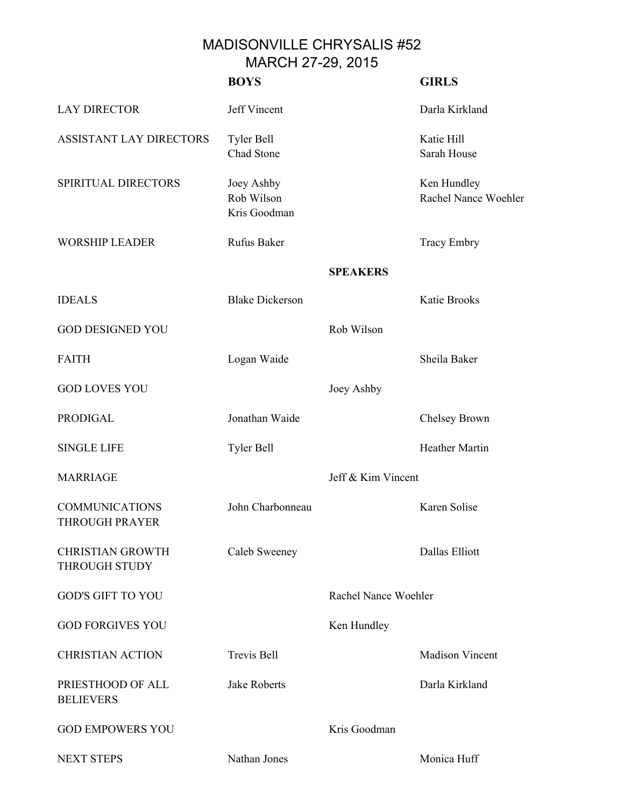## MADISONVILLE CHRYSALIS #52 MARCH 27-29, 2015

|                                                 | <b>BOYS</b>                              |                      | <b>GIRLS</b>                        |
|-------------------------------------------------|------------------------------------------|----------------------|-------------------------------------|
| <b>LAY DIRECTOR</b>                             | Jeff Vincent                             |                      | Darla Kirkland                      |
| ASSISTANT LAY DIRECTORS                         | <b>Tyler Bell</b><br>Chad Stone          |                      | Katie Hill<br>Sarah House           |
| SPIRITUAL DIRECTORS                             | Joey Ashby<br>Rob Wilson<br>Kris Goodman |                      | Ken Hundley<br>Rachel Nance Woehler |
| <b>WORSHIP LEADER</b>                           | Rufus Baker                              |                      | <b>Tracy Embry</b>                  |
|                                                 |                                          | <b>SPEAKERS</b>      |                                     |
| <b>IDEALS</b>                                   | <b>Blake Dickerson</b>                   |                      | Katie Brooks                        |
| <b>GOD DESIGNED YOU</b>                         |                                          | Rob Wilson           |                                     |
| <b>FAITH</b>                                    | Logan Waide                              |                      | Sheila Baker                        |
| <b>GOD LOVES YOU</b>                            |                                          | Joey Ashby           |                                     |
| <b>PRODIGAL</b>                                 | Jonathan Waide                           |                      | Chelsey Brown                       |
| <b>SINGLE LIFE</b>                              | Tyler Bell                               |                      | <b>Heather Martin</b>               |
| <b>MARRIAGE</b>                                 |                                          | Jeff & Kim Vincent   |                                     |
| <b>COMMUNICATIONS</b><br><b>THROUGH PRAYER</b>  | John Charbonneau                         |                      | Karen Solise                        |
| <b>CHRISTIAN GROWTH</b><br><b>THROUGH STUDY</b> | Caleb Sweeney                            |                      | Dallas Elliott                      |
| <b>GOD'S GIFT TO YOU</b>                        |                                          | Rachel Nance Woehler |                                     |
| <b>GOD FORGIVES YOU</b>                         |                                          | Ken Hundley          |                                     |
| <b>CHRISTIAN ACTION</b>                         | <b>Trevis Bell</b>                       |                      | <b>Madison Vincent</b>              |
| PRIESTHOOD OF ALL<br><b>BELIEVERS</b>           | Jake Roberts                             |                      | Darla Kirkland                      |
| <b>GOD EMPOWERS YOU</b>                         |                                          | Kris Goodman         |                                     |
| <b>NEXT STEPS</b>                               | Nathan Jones                             |                      | Monica Huff                         |